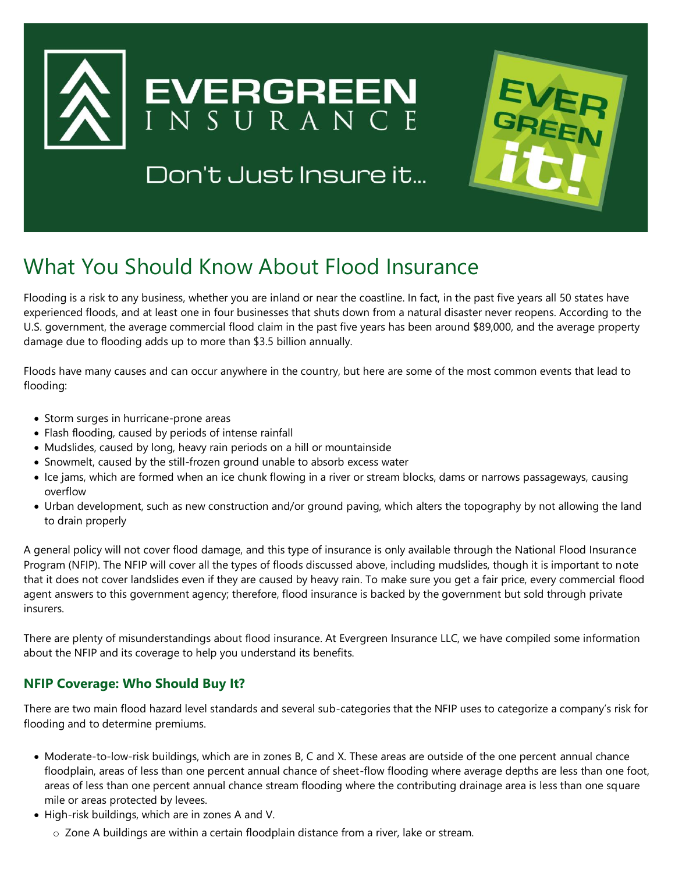

Don't Just Insure it...



## What You Should Know About Flood Insurance

Flooding is a risk to any business, whether you are inland or near the coastline. In fact, in the past five years all 50 states have experienced floods, and at least one in four businesses that shuts down from a natural disaster never reopens. According to the U.S. government, the average commercial flood claim in the past five years has been around \$89,000, and the average property damage due to flooding adds up to more than \$3.5 billion annually.

Floods have many causes and can occur anywhere in the country, but here are some of the most common events that lead to flooding:

- Storm surges in hurricane-prone areas
- Flash flooding, caused by periods of intense rainfall
- Mudslides, caused by long, heavy rain periods on a hill or mountainside
- Snowmelt, caused by the still-frozen ground unable to absorb excess water
- Ice jams, which are formed when an ice chunk flowing in a river or stream blocks, dams or narrows passageways, causing overflow
- Urban development, such as new construction and/or ground paving, which alters the topography by not allowing the land to drain properly

A general policy will not cover flood damage, and this type of insurance is only available through the National Flood Insurance Program (NFIP). The NFIP will cover all the types of floods discussed above, including mudslides, though it is important to note that it does not cover landslides even if they are caused by heavy rain. To make sure you get a fair price, every commercial flood agent answers to this government agency; therefore, flood insurance is backed by the government but sold through private insurers.

There are plenty of misunderstandings about flood insurance. At Evergreen Insurance LLC, we have compiled some information about the NFIP and its coverage to help you understand its benefits.

## **NFIP Coverage: Who Should Buy It?**

There are two main flood hazard level standards and several sub-categories that the NFIP uses to categorize a company's risk for flooding and to determine premiums.

- Moderate-to-low-risk buildings, which are in zones B, C and X. These areas are outside of the one percent annual chance floodplain, areas of less than one percent annual chance of sheet-flow flooding where average depths are less than one foot, areas of less than one percent annual chance stream flooding where the contributing drainage area is less than one square mile or areas protected by levees.
- High-risk buildings, which are in zones A and V.
	- o Zone A buildings are within a certain floodplain distance from a river, lake or stream.